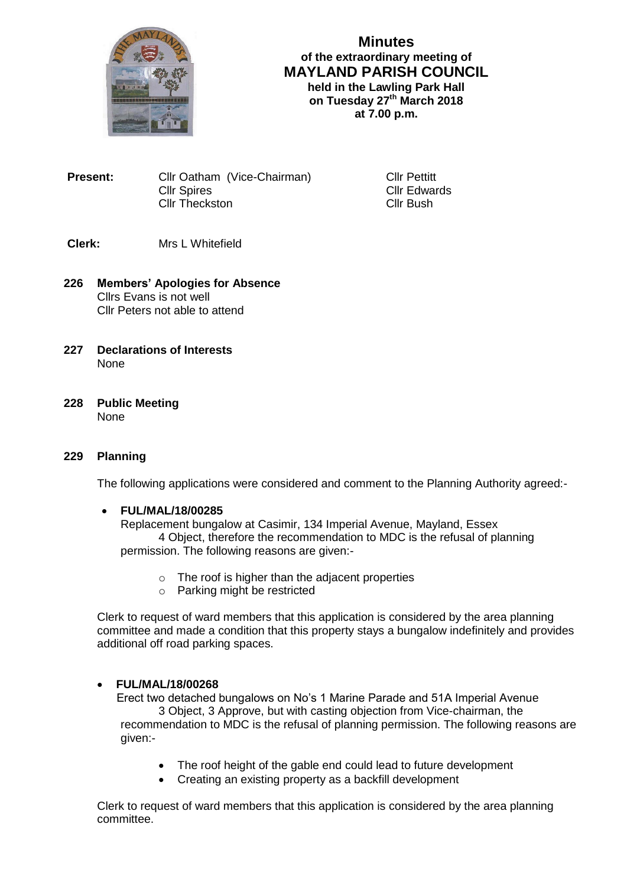

# **Minutes of the extraordinary meeting of MAYLAND PARISH COUNCIL held in the Lawling Park Hall on Tuesday 27th March 2018**

**at 7.00 p.m.**

**Present:** Cllr Oatham (Vice-Chairman) Cllr Pettitt Cllr Spires Cllr Edwards<br>Cllr Theckston Cllr Bush Cllr Theckston

# **Clerk:** Mrs L Whitefield

- **226 Members' Apologies for Absence** Cllrs Evans is not well Cllr Peters not able to attend
- **227 Declarations of Interests** None
- **228 Public Meeting None**

#### **229 Planning**

The following applications were considered and comment to the Planning Authority agreed:-

#### **FUL/MAL/18/00285**

Replacement bungalow at Casimir, 134 Imperial Avenue, Mayland, Essex 4 Object, therefore the recommendation to MDC is the refusal of planning permission. The following reasons are given:-

- o The roof is higher than the adjacent properties
- o Parking might be restricted

Clerk to request of ward members that this application is considered by the area planning committee and made a condition that this property stays a bungalow indefinitely and provides additional off road parking spaces.

## **FUL/MAL/18/00268**

Erect two detached bungalows on No's 1 Marine Parade and 51A Imperial Avenue 3 Object, 3 Approve, but with casting objection from Vice-chairman, the recommendation to MDC is the refusal of planning permission. The following reasons are given:-

- The roof height of the gable end could lead to future development
- Creating an existing property as a backfill development

Clerk to request of ward members that this application is considered by the area planning committee.